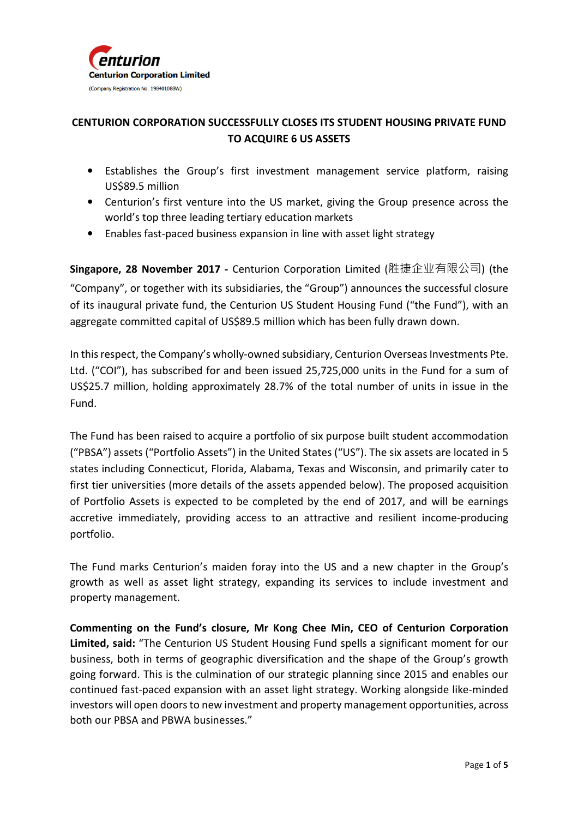

# **CENTURION CORPORATION SUCCESSFULLY CLOSES ITS STUDENT HOUSING PRIVATE FUND TO ACQUIRE 6 US ASSETS**

- Establishes the Group's first investment management service platform, raising US\$89.5 million
- Centurion's first venture into the US market, giving the Group presence across the world's top three leading tertiary education markets
- Enables fast-paced business expansion in line with asset light strategy

**Singapore, 28 November 2017 -** Centurion Corporation Limited (胜捷企业有限公司) (the "Company", or together with its subsidiaries, the "Group") announces the successful closure of its inaugural private fund, the Centurion US Student Housing Fund ("the Fund"), with an aggregate committed capital of US\$89.5 million which has been fully drawn down.

In this respect, the Company's wholly-owned subsidiary, Centurion Overseas Investments Pte. Ltd. ("COI"), has subscribed for and been issued 25,725,000 units in the Fund for a sum of US\$25.7 million, holding approximately 28.7% of the total number of units in issue in the Fund.

The Fund has been raised to acquire a portfolio of six purpose built student accommodation ("PBSA") assets ("Portfolio Assets") in the United States ("US"). The six assets are located in 5 states including Connecticut, Florida, Alabama, Texas and Wisconsin, and primarily cater to first tier universities (more details of the assets appended below). The proposed acquisition of Portfolio Assets is expected to be completed by the end of 2017, and will be earnings accretive immediately, providing access to an attractive and resilient income-producing portfolio.

The Fund marks Centurion's maiden foray into the US and a new chapter in the Group's growth as well as asset light strategy, expanding its services to include investment and property management.

**Commenting on the Fund's closure, Mr Kong Chee Min, CEO of Centurion Corporation Limited, said:** "The Centurion US Student Housing Fund spells a significant moment for our business, both in terms of geographic diversification and the shape of the Group's growth going forward. This is the culmination of our strategic planning since 2015 and enables our continued fast-paced expansion with an asset light strategy. Working alongside like-minded investors will open doors to new investment and property management opportunities, across both our PBSA and PBWA businesses."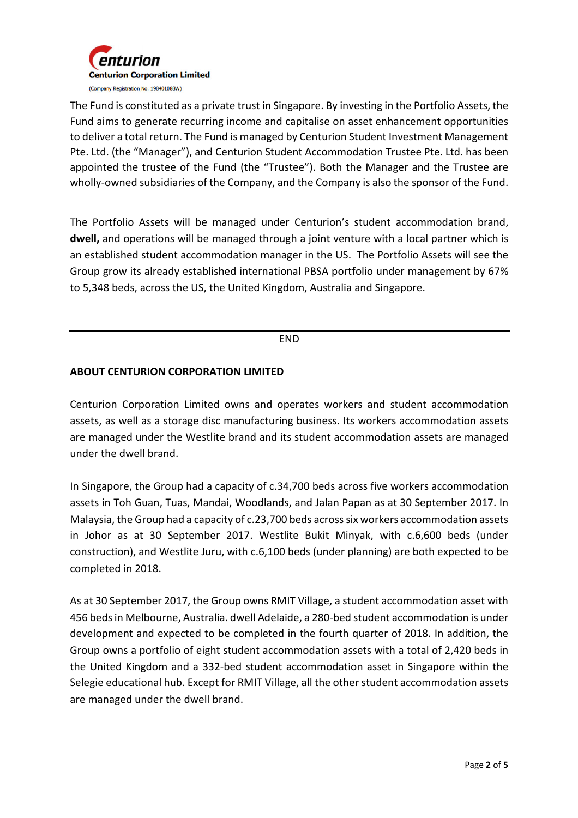

The Fund is constituted as a private trust in Singapore. By investing in the Portfolio Assets, the Fund aims to generate recurring income and capitalise on asset enhancement opportunities to deliver a total return. The Fund is managed by Centurion Student Investment Management Pte. Ltd. (the "Manager"), and Centurion Student Accommodation Trustee Pte. Ltd. has been appointed the trustee of the Fund (the "Trustee"). Both the Manager and the Trustee are wholly-owned subsidiaries of the Company, and the Company is also the sponsor of the Fund.

The Portfolio Assets will be managed under Centurion's student accommodation brand, **dwell,** and operations will be managed through a joint venture with a local partner which is an established student accommodation manager in the US. The Portfolio Assets will see the Group grow its already established international PBSA portfolio under management by 67% to 5,348 beds, across the US, the United Kingdom, Australia and Singapore.

## END

## **ABOUT CENTURION CORPORATION LIMITED**

Centurion Corporation Limited owns and operates workers and student accommodation assets, as well as a storage disc manufacturing business. Its workers accommodation assets are managed under the Westlite brand and its student accommodation assets are managed under the dwell brand.

In Singapore, the Group had a capacity of c.34,700 beds across five workers accommodation assets in Toh Guan, Tuas, Mandai, Woodlands, and Jalan Papan as at 30 September 2017. In Malaysia, the Group had a capacity of c.23,700 beds across six workers accommodation assets in Johor as at 30 September 2017. Westlite Bukit Minyak, with c.6,600 beds (under construction), and Westlite Juru, with c.6,100 beds (under planning) are both expected to be completed in 2018.

As at 30 September 2017, the Group owns RMIT Village, a student accommodation asset with 456 beds in Melbourne, Australia. dwell Adelaide, a 280-bed student accommodation is under development and expected to be completed in the fourth quarter of 2018. In addition, the Group owns a portfolio of eight student accommodation assets with a total of 2,420 beds in the United Kingdom and a 332-bed student accommodation asset in Singapore within the Selegie educational hub. Except for RMIT Village, all the other student accommodation assets are managed under the dwell brand.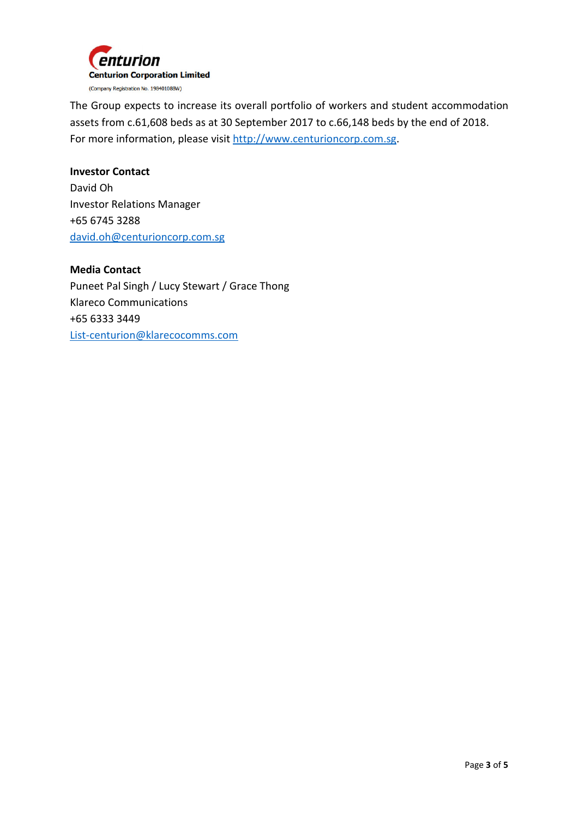

The Group expects to increase its overall portfolio of workers and student accommodation assets from c.61,608 beds as at 30 September 2017 to c.66,148 beds by the end of 2018. For more information, please visit http://www.centurioncorp.com.sg.

# **Investor Contact**  David Oh Investor Relations Manager +65 6745 3288 david.oh@centurioncorp.com.sg

**Media Contact**  Puneet Pal Singh / Lucy Stewart / Grace Thong Klareco Communications +65 6333 3449 List-centurion@klarecocomms.com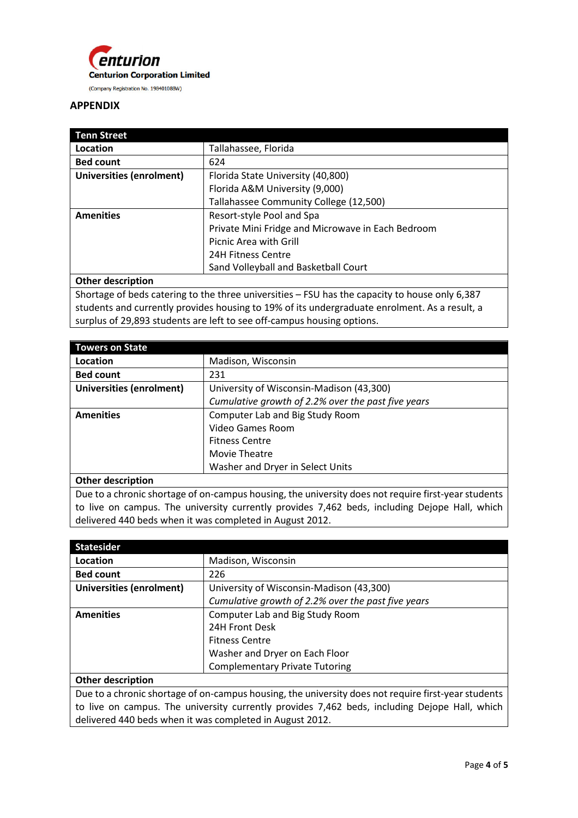

### **APPENDIX**

| <b>Tenn Street</b>              |                                                   |
|---------------------------------|---------------------------------------------------|
| Location                        | Tallahassee, Florida                              |
| <b>Bed count</b>                | 624                                               |
| <b>Universities (enrolment)</b> | Florida State University (40,800)                 |
|                                 | Florida A&M University (9,000)                    |
|                                 | Tallahassee Community College (12,500)            |
| <b>Amenities</b>                | Resort-style Pool and Spa                         |
|                                 | Private Mini Fridge and Microwave in Each Bedroom |
|                                 | Picnic Area with Grill                            |
|                                 | 24H Fitness Centre                                |
|                                 | Sand Volleyball and Basketball Court              |
| <b>Other description</b>        |                                                   |

Shortage of beds catering to the three universities – FSU has the capacity to house only 6,387 students and currently provides housing to 19% of its undergraduate enrolment. As a result, a surplus of 29,893 students are left to see off-campus housing options.

| <b>Towers on State</b>          |                                                    |
|---------------------------------|----------------------------------------------------|
| Location                        | Madison, Wisconsin                                 |
| <b>Bed count</b>                | 231                                                |
| <b>Universities (enrolment)</b> | University of Wisconsin-Madison (43,300)           |
|                                 | Cumulative growth of 2.2% over the past five years |
| <b>Amenities</b>                | Computer Lab and Big Study Room                    |
|                                 | Video Games Room                                   |
|                                 | <b>Fitness Centre</b>                              |
|                                 | Movie Theatre                                      |
|                                 | Washer and Dryer in Select Units                   |
| <b>Other description</b>        |                                                    |

Due to a chronic shortage of on-campus housing, the university does not require first-year students to live on campus. The university currently provides 7,462 beds, including Dejope Hall, which delivered 440 beds when it was completed in August 2012.

| <b>Statesider</b>               |                                                    |
|---------------------------------|----------------------------------------------------|
| Location                        | Madison, Wisconsin                                 |
| <b>Bed count</b>                | 226                                                |
| <b>Universities (enrolment)</b> | University of Wisconsin-Madison (43,300)           |
|                                 | Cumulative growth of 2.2% over the past five years |
| <b>Amenities</b>                | Computer Lab and Big Study Room                    |
|                                 | 24H Front Desk                                     |
|                                 | <b>Fitness Centre</b>                              |
|                                 | Washer and Dryer on Each Floor                     |
|                                 | <b>Complementary Private Tutoring</b>              |
| <b>Other description</b>        |                                                    |

Due to a chronic shortage of on-campus housing, the university does not require first-year students to live on campus. The university currently provides 7,462 beds, including Dejope Hall, which delivered 440 beds when it was completed in August 2012.